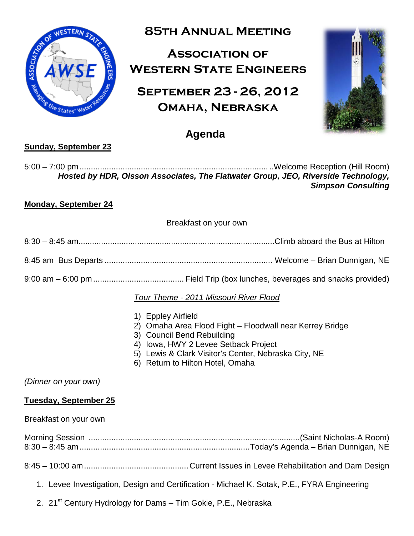

# **85th Annual Meeting**

# **Association of Western State Engineers**

# **September 23 - 26, 2012 Omaha, Nebraska**



## **Agenda**

### **Sunday, September 23**

5:00 – 7:00 pm................................................................................... ..Welcome Reception (Hill Room) *Hosted by HDR, Olsson Associates, The Flatwater Group, JEO, Riverside Technology, Simpson Consulting*

### **Monday, September 24**

Breakfast on your own

- 8:30 8:45 am.......................................................................................Climb aboard the Bus at Hilton
- 8:45 am Bus Departs .......................................................................... Welcome Brian Dunnigan, NE
- 9:00 am 6:00 pm........................................ Field Trip (box lunches, beverages and snacks provided)

### *Tour Theme - 2011 Missouri River Flood*

- 1) Eppley Airfield
- 2) Omaha Area Flood Fight Floodwall near Kerrey Bridge
- 3) Council Bend Rebuilding
- 4) Iowa, HWY 2 Levee Setback Project
- 5) Lewis & Clark Visitor's Center, Nebraska City, NE
- 6) Return to Hilton Hotel, Omaha

*(Dinner on your own)*

#### **Tuesday, September 25**

Breakfast on your own

Morning Session .............................................................................................(Saint Nicholas-A Room) 8:30 – 8:45 am...........................................................................Today's Agenda – Brian Dunnigan, NE

- 8:45 10:00 am..............................................Current Issues in Levee Rehabilitation and Dam Design
	- 1. Levee Investigation, Design and Certification Michael K. Sotak, P.E., FYRA Engineering
	- 2. 21<sup>st</sup> Century Hydrology for Dams Tim Gokie, P.E., Nebraska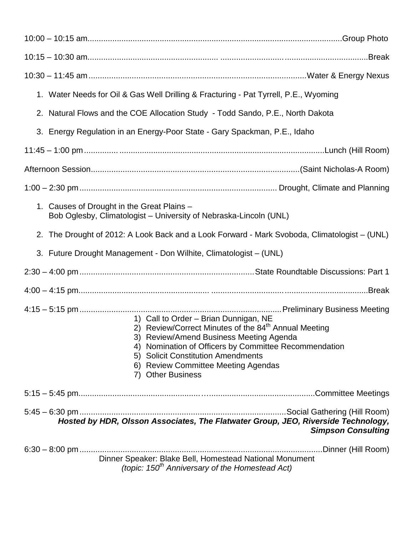| 1. Water Needs for Oil & Gas Well Drilling & Fracturing - Pat Tyrrell, P.E., Wyoming                                                                                                                                                                                                                                      |
|---------------------------------------------------------------------------------------------------------------------------------------------------------------------------------------------------------------------------------------------------------------------------------------------------------------------------|
| 2. Natural Flows and the COE Allocation Study - Todd Sando, P.E., North Dakota                                                                                                                                                                                                                                            |
| 3. Energy Regulation in an Energy-Poor State - Gary Spackman, P.E., Idaho                                                                                                                                                                                                                                                 |
|                                                                                                                                                                                                                                                                                                                           |
|                                                                                                                                                                                                                                                                                                                           |
|                                                                                                                                                                                                                                                                                                                           |
| 1. Causes of Drought in the Great Plains -<br>Bob Oglesby, Climatologist - University of Nebraska-Lincoln (UNL)                                                                                                                                                                                                           |
| 2. The Drought of 2012: A Look Back and a Look Forward - Mark Svoboda, Climatologist – (UNL)                                                                                                                                                                                                                              |
| 3. Future Drought Management - Don Wilhite, Climatologist – (UNL)                                                                                                                                                                                                                                                         |
|                                                                                                                                                                                                                                                                                                                           |
|                                                                                                                                                                                                                                                                                                                           |
| 1) Call to Order - Brian Dunnigan, NE<br>2) Review/Correct Minutes of the 84 <sup>th</sup> Annual Meeting<br>3) Review/Amend Business Meeting Agenda<br>4) Nomination of Officers by Committee Recommendation<br>5) Solicit Constitution Amendments<br>6) Review Committee Meeting Agendas<br><b>Other Business</b><br>7) |
|                                                                                                                                                                                                                                                                                                                           |
| Hosted by HDR, Olsson Associates, The Flatwater Group, JEO, Riverside Technology,<br><b>Simpson Consulting</b>                                                                                                                                                                                                            |
| Dinner Speaker: Blake Bell, Homestead National Monument<br>(topic: $150th$ Anniversary of the Homestead Act)                                                                                                                                                                                                              |